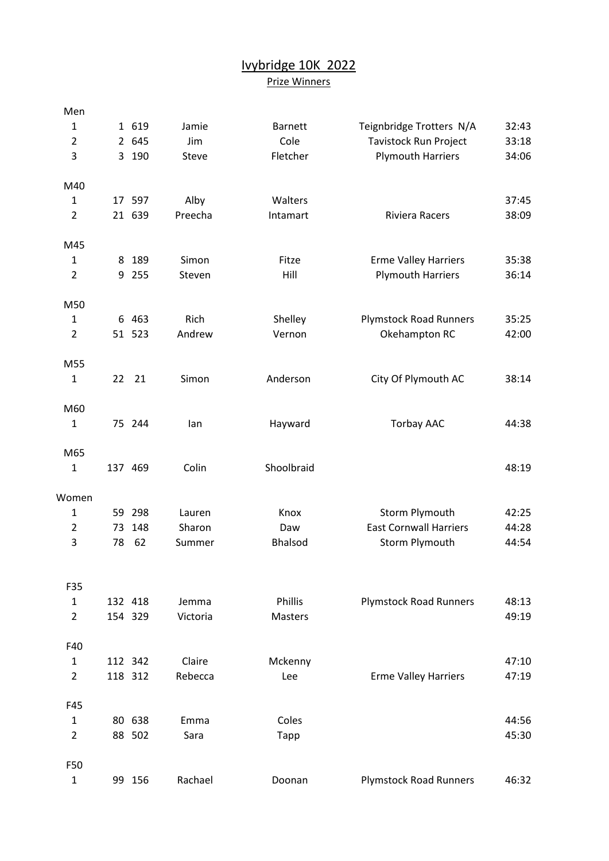## Ivybridge 10K 2022 Prize Winners

| Men            |    |         |          |                |                               |       |
|----------------|----|---------|----------|----------------|-------------------------------|-------|
| $\mathbf{1}$   |    | 1 619   | Jamie    | <b>Barnett</b> | Teignbridge Trotters N/A      | 32:43 |
| $\overline{2}$ |    | 2 645   | Jim      | Cole           | <b>Tavistock Run Project</b>  | 33:18 |
| 3              |    | 3 190   | Steve    | Fletcher       | <b>Plymouth Harriers</b>      | 34:06 |
| M40            |    |         |          |                |                               |       |
| $\mathbf{1}$   |    | 17 597  | Alby     | Walters        |                               | 37:45 |
| $\overline{2}$ |    | 21 639  | Preecha  | Intamart       | Riviera Racers                | 38:09 |
| M45            |    |         |          |                |                               |       |
| $\mathbf{1}$   | 8  | 189     | Simon    | Fitze          | <b>Erme Valley Harriers</b>   | 35:38 |
| $\overline{2}$ | 9  | 255     | Steven   | Hill           | <b>Plymouth Harriers</b>      | 36:14 |
| M50            |    |         |          |                |                               |       |
| $\mathbf{1}$   |    | 6 4 63  | Rich     | Shelley        | <b>Plymstock Road Runners</b> | 35:25 |
| $\overline{2}$ |    | 51 523  | Andrew   | Vernon         | Okehampton RC                 | 42:00 |
| M55            |    |         |          |                |                               |       |
| $\mathbf{1}$   | 22 | 21      | Simon    | Anderson       | City Of Plymouth AC           | 38:14 |
| M60            |    |         |          |                |                               |       |
| $\mathbf{1}$   |    | 75 244  | lan      | Hayward        | <b>Torbay AAC</b>             | 44:38 |
| M65            |    |         |          |                |                               |       |
| $\mathbf{1}$   |    | 137 469 | Colin    | Shoolbraid     |                               | 48:19 |
| Women          |    |         |          |                |                               |       |
| $\mathbf{1}$   |    | 59 298  | Lauren   | Knox           | <b>Storm Plymouth</b>         | 42:25 |
| $\overline{2}$ | 73 | 148     | Sharon   | Daw            | <b>East Cornwall Harriers</b> | 44:28 |
| 3              | 78 | 62      | Summer   | <b>Bhalsod</b> | Storm Plymouth                | 44:54 |
| F35            |    |         |          |                |                               |       |
| $\mathbf{1}$   |    | 132 418 | Jemma    | Phillis        | <b>Plymstock Road Runners</b> | 48:13 |
| $\overline{2}$ |    | 154 329 | Victoria | <b>Masters</b> |                               | 49:19 |
| F40            |    |         |          |                |                               |       |
| $\mathbf{1}$   |    | 112 342 | Claire   | Mckenny        |                               | 47:10 |
| $\overline{2}$ |    | 118 312 | Rebecca  | Lee            | <b>Erme Valley Harriers</b>   | 47:19 |
| F45            |    |         |          |                |                               |       |
| $\mathbf{1}$   |    | 80 638  | Emma     | Coles          |                               | 44:56 |
| $\overline{2}$ |    | 88 502  | Sara     | Tapp           |                               | 45:30 |
| F50            |    |         |          |                |                               |       |
| $\mathbf{1}$   |    | 99 156  | Rachael  | Doonan         | <b>Plymstock Road Runners</b> | 46:32 |